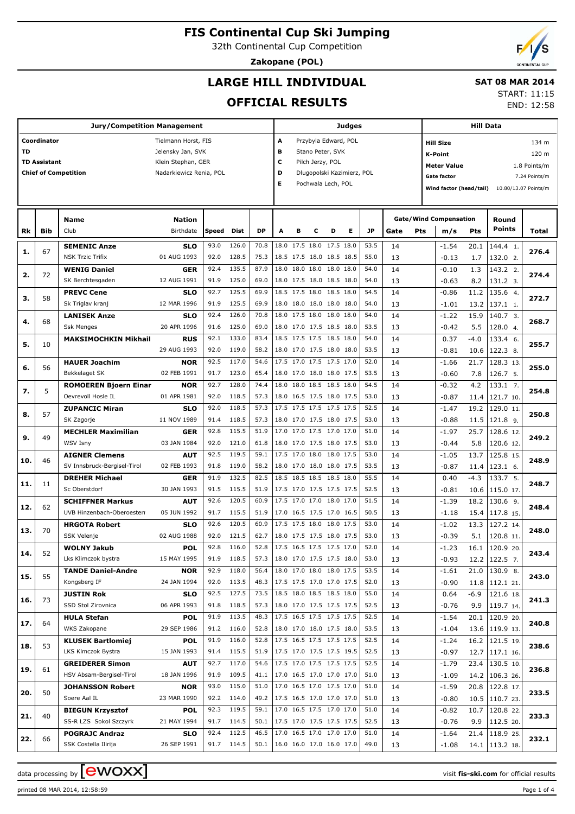32th Continental Cup Competition

**Zakopane (POL)**

END: 12:58

## **LARGE HILL INDIVIDUAL**

#### **SAT 08 MAR 2014** START: 11:15

**OFFICIAL RESULTS**

|     |                                                                                                     | <b>Jury/Competition Management</b>                    |                                          |              |                     |                                 | <b>Judges</b>                                                                       |                                                      |   |                                          |   |              |          |     | <b>Hill Data</b>                                                                  |                |                                       |                               |  |
|-----|-----------------------------------------------------------------------------------------------------|-------------------------------------------------------|------------------------------------------|--------------|---------------------|---------------------------------|-------------------------------------------------------------------------------------|------------------------------------------------------|---|------------------------------------------|---|--------------|----------|-----|-----------------------------------------------------------------------------------|----------------|---------------------------------------|-------------------------------|--|
| TD  | Coordinator                                                                                         |                                                       | Tielmann Horst, FIS<br>Jelensky Jan, SVK |              |                     |                                 | A<br>в                                                                              |                                                      |   | Przybyla Edward, POL<br>Stano Peter, SVK |   |              |          |     | <b>Hill Size</b><br>K-Point                                                       |                |                                       | 134 m<br>120 m                |  |
|     | <b>TD Assistant</b><br>Klein Stephan, GER<br><b>Chief of Competition</b><br>Nadarkiewicz Renia, POL |                                                       |                                          |              |                     |                                 | с<br>Pilch Jerzy, POL<br>D<br>Dlugopolski Kazimierz, POL<br>Е<br>Pochwala Lech, POL |                                                      |   |                                          |   |              |          |     | <b>Meter Value</b><br>Gate factor<br>Wind factor (head/tail) 10.80/13.07 Points/m |                |                                       | 1.8 Points/m<br>7.24 Points/m |  |
|     |                                                                                                     | Name<br>Club                                          | <b>Nation</b><br>Birthdate               |              |                     | <b>DP</b>                       | A                                                                                   | в                                                    | c | D                                        | Е | <b>JP</b>    |          |     | <b>Gate/Wind Compensation</b>                                                     |                | Round<br>Points                       |                               |  |
| Rk  | Bib                                                                                                 |                                                       |                                          | Speed        | Dist                |                                 |                                                                                     |                                                      |   |                                          |   |              | Gate     | Pts | m/s                                                                               | Pts            |                                       | <b>Total</b>                  |  |
| 1.  | 67                                                                                                  | <b>SEMENIC Anze</b><br><b>NSK Trzic Trifix</b>        | <b>SLO</b><br>01 AUG 1993                | 93.0<br>92.0 | 126.0<br>128.5      | 70.8<br>75.3                    |                                                                                     | 18.0 17.5 18.0 17.5 18.0<br>18.5 17.5 18.0 18.5 18.5 |   |                                          |   | 53.5<br>55.0 | 14<br>13 |     | $-1.54$<br>$-0.13$                                                                | 20.1<br>1.7    | 144.4 1.<br>132.0 2.                  | 276.4                         |  |
| 2.  | 72                                                                                                  | <b>WENIG Daniel</b><br>SK Berchtesgaden               | <b>GER</b><br>12 AUG 1991                | 92.4<br>91.9 | 135.5<br>125.0      | 87.9<br>69.0                    | 18.0                                                                                | 18.0 18.0 18.0 18.0<br>18.0 17.5 18.0 18.5 18.0      |   |                                          |   | 54.0<br>54.0 | 14<br>13 |     | $-0.10$                                                                           | 1.3<br>8.2     | 143.2 2.<br>131.2 3.                  | 274.4                         |  |
| з.  | 58                                                                                                  | <b>PREVC Cene</b>                                     | <b>SLO</b>                               | 92.7         | 125.5               | 69.9                            |                                                                                     | 18.5 17.5 18.0 18.5 18.0                             |   |                                          |   | 54.5         | 14       |     | $-0.63$<br>$-0.86$                                                                | 11.2           | 135.6 4.                              | 272.7                         |  |
|     |                                                                                                     | Sk Triglav kranj<br><b>LANISEK Anze</b>               | 12 MAR 1996<br><b>SLO</b>                | 91.9<br>92.4 | 125.5<br>126.0      | 69.9<br>70.8                    |                                                                                     | 18.0 18.0 18.0 18.0 18.0<br>18.0 17.5 18.0 18.0 18.0 |   |                                          |   | 54.0<br>54.0 | 13<br>14 |     | $-1.01$<br>$-1.22$                                                                | 13.2<br>15.9   | 137.1 1.<br>140.7 3.                  |                               |  |
| 4.  | 68                                                                                                  | <b>Ssk Menges</b>                                     | 20 APR 1996                              | 91.6         | 125.0               | 69.0                            |                                                                                     | 18.0 17.0 17.5 18.5 18.0                             |   |                                          |   | 53.5         | 13       |     | $-0.42$                                                                           | 5.5            | 128.0 4.                              | 268.7                         |  |
| 5.  | 10                                                                                                  | <b>MAKSIMOCHKIN Mikhail</b>                           | <b>RUS</b><br>29 AUG 1993                | 92.1<br>92.0 | 133.0<br>119.0      | 83.4<br>58.2                    |                                                                                     | 18.5 17.5 17.5 18.5 18.0<br>18.0 17.0 17.5 18.0 18.0 |   |                                          |   | 54.0<br>53.5 | 14<br>13 |     | 0.37<br>$-0.81$                                                                   | $-4.0$<br>10.6 | 133.4 6.<br>122.3 8.                  | 255.7                         |  |
| 6.  | 56                                                                                                  | <b>HAUER Joachim</b>                                  | <b>NOR</b>                               | 92.5         | 117.0               | 54.6                            |                                                                                     | 17.5 17.0 17.5 17.5 17.0                             |   |                                          |   | 52.0         | 14       |     | $-1.66$                                                                           | 21.7           | 128.3 13.                             | 255.0                         |  |
|     | 5                                                                                                   | Bekkelaget SK<br><b>ROMOEREN Bjoern Einar</b>         | 02 FEB 1991<br><b>NOR</b>                | 91.7<br>92.7 | 123.0<br>128.0      | 65.4<br>74.4                    |                                                                                     | 18.0 17.0 18.0 18.0 17.5<br>18.0 18.0 18.5 18.5 18.0 |   |                                          |   | 53.5<br>54.5 | 13<br>14 |     | $-0.60$<br>$-0.32$                                                                | 7.8<br>4.2     | 126.7 5.<br>133.1 7.                  |                               |  |
| 7.  |                                                                                                     | Oevrevoll Hosle IL                                    | 01 APR 1981                              | 92.0         | 118.5               | 57.3                            |                                                                                     | 18.0 16.5 17.5 18.0 17.5                             |   |                                          |   | 53.0         | 13       |     | $-0.87$                                                                           | 11.4           | 121.7 10.                             | 254.8                         |  |
| 8.  | 57                                                                                                  | <b>ZUPANCIC Miran</b><br>SK Zagorje                   | <b>SLO</b><br>11 NOV 1989                | 92.0<br>91.4 | 118.5<br>118.5      | 57.3<br>57.3                    |                                                                                     | 17.5 17.5 17.5 17.5 17.5<br>18.0 17.0 17.5 18.0 17.5 |   |                                          |   | 52.5<br>53.0 | 14<br>13 |     | $-1.47$<br>$-0.88$                                                                | 19.2<br>11.5   | 129.0 11.<br>121.8 9.                 | 250.8                         |  |
| 9.  | 49                                                                                                  | <b>MECHLER Maximilian</b><br><b>WSV Isny</b>          | <b>GER</b><br>03 JAN 1984                | 92.8<br>92.0 | 115.5<br>121.0      | 51.9<br>61.8                    |                                                                                     | 17.0 17.0 17.5 17.0 17.0<br>18.0 17.0 17.5 18.0 17.5 |   |                                          |   | 51.0<br>53.0 | 14<br>13 |     | $-1.97$                                                                           | 25.7<br>5.8    | 128.6 12.<br>120.6 12.                | 249.2                         |  |
| 10. | 46                                                                                                  | <b>AIGNER Clemens</b>                                 | <b>AUT</b>                               | 92.5         | 119.5               | 59.1                            |                                                                                     | 17.5 17.0 18.0 18.0 17.5                             |   |                                          |   | 53.0         | 14       |     | $-0.44$<br>$-1.05$                                                                | 13.7           | 125.8 15.                             | 248.9                         |  |
|     |                                                                                                     | SV Innsbruck-Bergisel-Tirol<br><b>DREHER Michael</b>  | 02 FEB 1993<br><b>GER</b>                | 91.8<br>91.9 | 119.0<br>132.5      | 58.2<br>82.5                    |                                                                                     | 18.0 17.0 18.0 18.0 17.5<br>18.5 18.5 18.5 18.5 18.0 |   |                                          |   | 53.5<br>55.5 | 13<br>14 |     | $-0.87$<br>0.40                                                                   | 11.4<br>$-4.3$ | 123.1 6.<br>133.7 5.                  |                               |  |
| 11. | 11                                                                                                  | Sc Oberstdorf                                         | 30 JAN 1993                              | 91.5         | 115.5               | 51.9                            |                                                                                     | 17.5 17.0 17.5 17.5 17.5                             |   |                                          |   | 52.5         | 13       |     | $-0.81$                                                                           | 10.6           | 115.0 17.                             | 248.7                         |  |
| 12. | 62                                                                                                  | <b>SCHIFFNER Markus</b><br>UVB Hinzenbach-Oberoesterr | <b>AUT</b><br>05 JUN 1992                | 92.6<br>91.7 | 120.5<br>115.5      | 60.9<br>51.9                    |                                                                                     | 17.5 17.0 17.0 18.0 17.0<br>17.0 16.5 17.5 17.0 16.5 |   |                                          |   | 51.5<br>50.5 | 14<br>13 |     | $-1.39$<br>$-1.18$                                                                | 18.2           | 130.6 9.<br>15.4 117.8 15.            | 248.4                         |  |
| 13. | 70                                                                                                  | <b>HRGOTA Robert</b>                                  | <b>SLO</b>                               | 92.6         | 120.5               | 60.9                            |                                                                                     | 17.5 17.5 18.0 18.0 17.5                             |   |                                          |   | 53.0         | 14       |     | $-1.02$                                                                           | 13.3           | 127.2 14.                             | 248.0                         |  |
|     |                                                                                                     | SSK Velenje<br><b>WOLNY Jakub</b>                     | 02 AUG 1988<br><b>POL</b>                | 92.0<br>92.8 | 121.5<br>116.0      | 62.7<br>52.8                    | 17.5 16.5 17.5 17.5 17.0                                                            | 18.0 17.5 17.5 18.0 17.5                             |   |                                          |   | 53.0<br>52.0 | 13<br>14 |     | $-0.39$<br>$-1.23$                                                                |                | $5.1$   120.8 11.<br>$16.1$ 120.9 20. |                               |  |
| 14. | 52                                                                                                  | Lks Klimczok bystra                                   | 15 MAY 1995                              | 91.9         | 118.5               | 57.3                            | 18.0 17.0 17.5 17.5 18.0                                                            |                                                      |   |                                          |   | 53.0         | 13       |     | $-0.93$                                                                           |                | $12.2$   122.5 7.                     | 243.4                         |  |
| 15. | 55                                                                                                  | <b>TANDE Daniel-Andre</b><br>Kongsberg IF             | <b>NOR</b><br>24 JAN 1994                | 92.9         | 118.0<br>92.0 113.5 | 56.4<br>48.3                    | 17.5 17.5 17.0 17.0 17.5                                                            | 18.0 17.0 18.0 18.0 17.5                             |   |                                          |   | 53.5<br>52.0 | 14<br>13 |     | $-1.61$<br>$-0.90$                                                                |                | $21.0$ 130.9 8.<br>$11.8$   112.1 21. | 243.0                         |  |
|     |                                                                                                     | <b>JUSTIN Rok</b>                                     | <b>SLO</b>                               | 92.5         | 127.5               | 73.5                            |                                                                                     | 18.5 18.0 18.5 18.5 18.0                             |   |                                          |   | 55.0         | 14       |     | 0.64                                                                              |                | $-6.9$ 121.6 18.                      |                               |  |
| 16. | 73                                                                                                  | SSD Stol Zirovnica                                    | 06 APR 1993                              | 91.8         | 118.5               | 57.3                            |                                                                                     | 18.0 17.0 17.5 17.5 17.5                             |   |                                          |   | 52.5         | 13       |     | $-0.76$                                                                           |                | $9.9$   119.7 14.                     | 241.3                         |  |
| 17. | 64                                                                                                  | <b>HULA Stefan</b><br>WKS Zakopane                    | <b>POL</b><br>29 SEP 1986                | 91.9<br>91.2 | 113.5<br>116.0      | 48.3<br>52.8                    |                                                                                     | 17.5 16.5 17.5 17.5 17.5<br>18.0 17.0 18.0 17.5 18.0 |   |                                          |   | 52.5<br>53.5 | 14<br>13 |     | $-1.54$<br>$-1.04$                                                                |                | 20.1   120.9 20.<br>13.6   119.9 13.  | 240.8                         |  |
| 18. | 53                                                                                                  | <b>KLUSEK Bartlomiej</b>                              | <b>POL</b>                               | 91.9         | 116.0               | 52.8                            |                                                                                     | 17.5 16.5 17.5 17.5 17.5                             |   |                                          |   | 52.5         | 14       |     | $-1.24$                                                                           |                | 16.2 121.5 19.                        | 238.6                         |  |
|     |                                                                                                     | LKS Klmczok Bystra                                    | 15 JAN 1993                              |              | 91.4 115.5          | 51.9   17.5 17.0 17.5 17.5 19.5 |                                                                                     |                                                      |   |                                          |   | 52.5         | 13       |     | $-0.97$                                                                           |                | $12.7$ 117.1 16.                      |                               |  |

92.7 117.0 54.6 17.5 17.0 17.5 17.5 17.5 52.5

93.0 115.0 51.0 17.0 16.5 17.0 17.5 17.0 51.0

92.3 119.5 59.1 17.0 16.5 17.5 17.0 17.0 51.0

92.4 112.5 46.5 17.0 16.5 17.0 17.0 17.0 51.0 **22.** | 66 | SSK Costella Ilirija | 26 SEP 1991 | 91.7 114.5 | 50.1 | 16.0 16.0 17.0 16.0 17.0 | 49.0 | 13 | 10.0 | -1.08 | 14.1 | 113.2 18. | 232.1

**19. 236.8**

**20. 233.5**

**21. 233.3**

91.9 109.5 41.1 17.0 16.5 17.0 17.0 17.0 51.0 13  $13$  -1.09 14.2 106.3 26.

92.2 114.0 49.2 17.5 16.5 17.0 17.0 17.0 51.0 13

91.7 114.5 50.1 17.5 17.0 17.5 17.5 17.5 52.5 112.5 20.

 $\overline{14}$ 13

 14 13

 14 13

 14 13

14.1 113.2 18.

23.4 | 130.5 10.

122.8 17.

120.8 22.

118.9 25.

14.2

 20.8 10.5

 10.7 9.9

21.4

-1.79 -1.09

 $-1.59$ -0.80

-0.82 -0.76

 $-1.64$ -1.08

61

50

40

66

**GREIDERER Simon** HSV Absam-Bergisel-Tirol

**JOHANSSON Robert**

**BIEGUN Krzysztof** SS-R LZS Sokol Szczyrk

**POGRAJC Andraz** SSK Costella Ilirija

Soere Aal IL

**AUT** 18 JAN 1996

**NOR** 23 MAR 1990

**POL** 21 MAY 1994

**SLO** 26 SEP 1991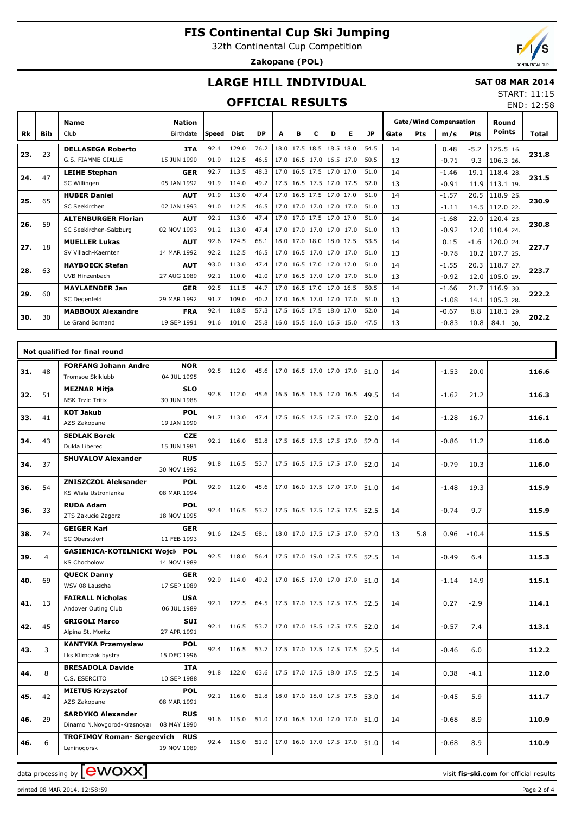32th Continental Cup Competition

**Zakopane (POL)**

## **LARGE HILL INDIVIDUAL**

#### **SAT 08 MAR 2014** START: 11:15

## **OFFICIAL RESULTS**

|           | <b>OFFICIAL RESULTS</b><br>END: 12:58 |                                                      |                            |              |                |              |   |   |                                                      |   |    |              |          |     |                                      |                |                             |       |
|-----------|---------------------------------------|------------------------------------------------------|----------------------------|--------------|----------------|--------------|---|---|------------------------------------------------------|---|----|--------------|----------|-----|--------------------------------------|----------------|-----------------------------|-------|
| <b>Rk</b> | <b>Bib</b>                            | <b>Name</b><br>Club                                  | <b>Nation</b><br>Birthdate | <b>Speed</b> | <b>Dist</b>    | <b>DP</b>    | A | в | C                                                    | D | Е. | JP.          | Gate     | Pts | <b>Gate/Wind Compensation</b><br>m/s | <b>Pts</b>     | Round<br><b>Points</b>      | Total |
| 23.       | 23                                    | <b>DELLASEGA Roberto</b><br>G.S. FIAMME GIALLE       | <b>ITA</b><br>15 JUN 1990  | 92.4<br>91.9 | 129.0<br>112.5 | 76.2<br>46.5 |   |   | 18.0 17.5 18.5 18.5 18.0<br>17.0 16.5 17.0 16.5 17.0 |   |    | 54.5<br>50.5 | 14<br>13 |     | 0.48<br>$-0.71$                      | $-5.2$<br>9.3  | 125.5 16.<br>106.3 26.      | 231.8 |
| 24.       | 47                                    | <b>LEIHE Stephan</b><br>SC Willingen                 | <b>GER</b><br>05 JAN 1992  | 92.7<br>91.9 | 113.5<br>114.0 | 48.3<br>49.2 |   |   | 17.0 16.5 17.5 17.0 17.0<br>17.5 16.5 17.5 17.0 17.5 |   |    | 51.0<br>52.0 | 14<br>13 |     | $-1.46$<br>$-0.91$                   | 19.1           | 118.4 28.<br>11.9 113.1 19. | 231.5 |
| 25.       | 65                                    | <b>HUBER Daniel</b><br>SC Seekirchen                 | <b>AUT</b><br>02 JAN 1993  | 91.9<br>91.0 | 113.0<br>112.5 | 47.4<br>46.5 |   |   | 17.0 16.5 17.5 17.0 17.0<br>17.0 17.0 17.0 17.0 17.0 |   |    | 51.0<br>51.0 | 14<br>13 |     | $-1.57$<br>$-1.11$                   | 20.5<br>14.5   | 118.925.<br>112.022         | 230.9 |
| 26.       | 59                                    | <b>ALTENBURGER Florian</b><br>SC Seekirchen-Salzburg | <b>AUT</b><br>02 NOV 1993  | 92.1<br>91.2 | 113.0<br>113.0 | 47.4<br>47.4 |   |   | 17.0 17.0 17.5 17.0 17.0<br>17.0 17.0 17.0 17.0 17.0 |   |    | 51.0<br>51.0 | 14<br>13 |     | $-1.68$<br>$-0.92$                   | 22.0<br>12.0   | 120.4 23.<br>110.4 24.      | 230.8 |
| 27.       | 18                                    | <b>MUELLER Lukas</b><br>SV Villach-Kaernten          | <b>AUT</b><br>14 MAR 1992  | 92.6<br>92.2 | 124.5<br>112.5 | 68.1<br>46.5 |   |   | 18.0 17.0 18.0 18.0 17.5<br>17.0 16.5 17.0 17.0 17.0 |   |    | 53.5<br>51.0 | 14<br>13 |     | 0.15<br>$-0.78$                      | $-1.6$<br>10.2 | 120.0 24.<br>107.7 25.      | 227.7 |
| 28.       | 63                                    | <b>HAYBOECK Stefan</b><br>UVB Hinzenbach             | <b>AUT</b><br>27 AUG 1989  | 93.0<br>92.1 | 113.0<br>110.0 | 47.4<br>42.0 |   |   | 17.0 16.5 17.0 17.0 17.0<br>17.0 16.5 17.0 17.0 17.0 |   |    | 51.0<br>51.0 | 14<br>13 |     | $-1.55$<br>$-0.92$                   | 20.3<br>12.0   | 118.7 27.<br>105.029.       | 223.7 |
| 29.       | 60                                    | <b>MAYLAENDER Jan</b><br>SC Degenfeld                | <b>GER</b><br>29 MAR 1992  | 92.5<br>91.7 | 111.5<br>109.0 | 44.7<br>40.2 |   |   | 17.0 16.5 17.0 17.0 16.5<br>17.0 16.5 17.0 17.0 17.0 |   |    | 50.5<br>51.0 | 14<br>13 |     | $-1.66$<br>$-1.08$                   | 21.7<br>14.1   | 116.9 30.<br>105.328.       | 222.2 |
| 30.       | 30                                    | <b>MABBOUX Alexandre</b><br>Le Grand Bornand         | <b>FRA</b><br>19 SEP 1991  | 92.4<br>91.6 | 118.5<br>101.0 | 57.3<br>25.8 |   |   | 17.5 16.5 17.5 18.0 17.0<br>16.0 15.5 16.0 16.5 15.0 |   |    | 52.0<br>47.5 | 14<br>13 |     | $-0.67$<br>$-0.83$                   | 8.8<br>10.8    | 118.1 29.<br>84.1 30.       | 202.2 |

|     |    | Not qualified for final round                                                        |      |            |      |                          |      |           |                 |       |
|-----|----|--------------------------------------------------------------------------------------|------|------------|------|--------------------------|------|-----------|-----------------|-------|
| 31. | 48 | <b>FORFANG Johann Andre</b><br><b>NOR</b><br>04 JUL 1995<br>Tromsoe Skiklubb         |      | 92.5 112.0 | 45.6 | 17.0 16.5 17.0 17.0 17.0 | 51.0 | 14        | $-1.53$<br>20.0 | 116.6 |
| 32. | 51 | <b>MEZNAR Mitja</b><br><b>SLO</b><br><b>NSK Trzic Trifix</b><br>30 JUN 1988          |      | 92.8 112.0 | 45.6 | 16.5 16.5 16.5 17.0 16.5 | 49.5 | 14        | $-1.62$<br>21.2 | 116.3 |
| 33. | 41 | <b>KOT Jakub</b><br><b>POL</b><br>AZS Zakopane<br>19 JAN 1990                        |      | 91.7 113.0 | 47.4 | 17.5 16.5 17.5 17.5 17.0 | 52.0 | 14        | $-1.28$<br>16.7 | 116.1 |
| 34. | 43 | <b>SEDLAK Borek</b><br><b>CZE</b><br>Dukla Liberec<br>15 JUN 1981                    |      | 92.1 116.0 | 52.8 | 17.5 16.5 17.5 17.5 17.0 | 52.0 | 14        | $-0.86$<br>11.2 | 116.0 |
| 34. | 37 | <b>SHUVALOV Alexander</b><br><b>RUS</b><br>30 NOV 1992                               |      | 91.8 116.5 | 53.7 | 17.5 16.5 17.5 17.5 17.0 | 52.0 | 14        | $-0.79$<br>10.3 | 116.0 |
| 36. | 54 | <b>ZNISZCZOL Aleksander</b><br><b>POL</b><br>KS Wisla Ustronianka<br>08 MAR 1994     |      | 92.9 112.0 | 45.6 | 17.0 16.0 17.5 17.0 17.0 | 51.0 | 14        | 19.3<br>$-1.48$ | 115.9 |
| 36. | 33 | <b>RUDA Adam</b><br><b>POL</b><br>ZTS Zakucie Zagorz<br>18 NOV 1995                  |      | 92.4 116.5 | 53.7 | 17.5 16.5 17.5 17.5 17.5 | 52.5 | 14        | 9.7<br>$-0.74$  | 115.9 |
| 38. | 74 | <b>GEIGER Karl</b><br><b>GER</b><br>11 FEB 1993<br>SC Oberstdorf                     | 91.6 | 124.5      | 68.1 | 18.0 17.0 17.5 17.5 17.0 | 52.0 | 5.8<br>13 | 0.96<br>$-10.4$ | 115.5 |
| 39. | 4  | GASIENICA-KOTELNICKI Wojci POL<br><b>KS Chocholow</b><br>14 NOV 1989                 |      | 92.5 118.0 | 56.4 | 17.5 17.0 19.0 17.5 17.5 | 52.5 | 14        | $-0.49$<br>6.4  | 115.3 |
| 40. | 69 | <b>QUECK Danny</b><br><b>GER</b><br>WSV 08 Lauscha<br>17 SEP 1989                    | 92.9 | 114.0      | 49.2 | 17.0 16.5 17.0 17.0 17.0 | 51.0 | 14        | $-1.14$<br>14.9 | 115.1 |
| 41. | 13 | <b>FAIRALL Nicholas</b><br><b>USA</b><br>Andover Outing Club<br>06 JUL 1989          |      | 92.1 122.5 | 64.5 | 17.5 17.0 17.5 17.5 17.5 | 52.5 | 14        | 0.27<br>$-2.9$  | 114.1 |
| 42. | 45 | <b>SUI</b><br><b>GRIGOLI Marco</b><br>Alpina St. Moritz<br>27 APR 1991               |      | 92.1 116.5 | 53.7 | 17.0 17.0 18.5 17.5 17.5 | 52.0 | 14        | $-0.57$<br>7.4  | 113.1 |
| 43. | 3  | <b>KANTYKA Przemyslaw</b><br>POL<br>15 DEC 1996<br>Lks Klimczok bystra               |      | 92.4 116.5 | 53.7 | 17.5 17.0 17.5 17.5 17.5 | 52.5 | 14        | 6.0<br>$-0.46$  | 112.2 |
| 44. | 8  | <b>BRESADOLA Davide</b><br><b>ITA</b><br>C.S. ESERCITO<br>10 SEP 1988                |      | 91.8 122.0 | 63.6 | 17.5 17.0 17.5 18.0 17.5 | 52.5 | 14        | 0.38<br>$-4.1$  | 112.0 |
| 45. | 42 | <b>MIETUS Krzysztof</b><br><b>POL</b><br>08 MAR 1991<br>AZS Zakopane                 |      | 92.1 116.0 | 52.8 | 18.0 17.0 18.0 17.5 17.5 | 53.0 | 14        | 5.9<br>$-0.45$  | 111.7 |
| 46. | 29 | <b>SARDYKO Alexander</b><br><b>RUS</b><br>Dinamo N.Novgorod-Krasnoyar<br>08 MAY 1990 |      | 91.6 115.0 | 51.0 | 17.0 16.5 17.0 17.0 17.0 | 51.0 | 14        | $-0.68$<br>8.9  | 110.9 |
| 46. | 6  | <b>TROFIMOV Roman- Sergeevich RUS</b><br>19 NOV 1989<br>Leninogorsk                  |      | 92.4 115.0 | 51.0 | 17.0 16.0 17.0 17.5 17.0 | 51.0 | 14        | 8.9<br>$-0.68$  | 110.9 |

data processing by **CWOXX**  $\blacksquare$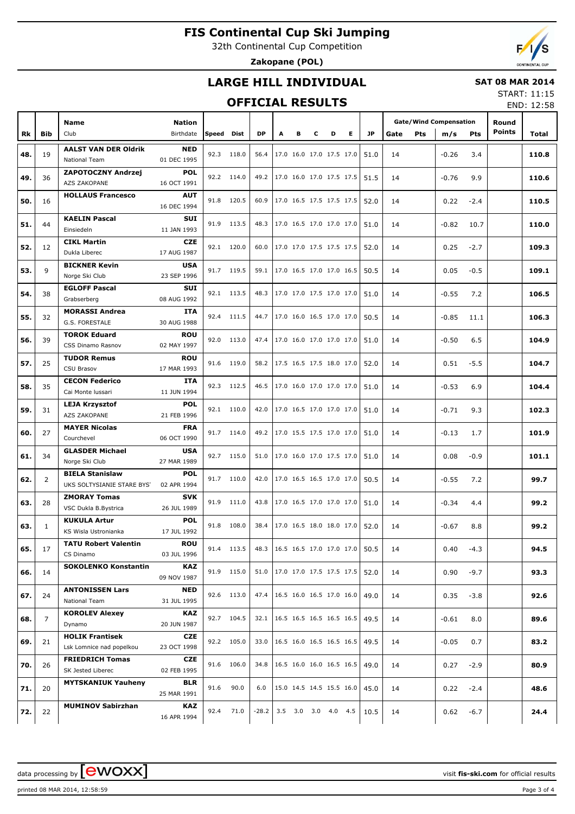32th Continental Cup Competition

**Zakopane (POL)**



### **LARGE HILL INDIVIDUAL**

### **SAT 08 MAR 2014**

## **OFFICIAL RESULTS**

START: 11:15 END: 12:58

|     |              |                             |             |            |            |           |                                 |   |   |                     |                            |      |      |            |                               |            |               | LIVD. IZ.JU |
|-----|--------------|-----------------------------|-------------|------------|------------|-----------|---------------------------------|---|---|---------------------|----------------------------|------|------|------------|-------------------------------|------------|---------------|-------------|
|     |              |                             |             |            |            |           |                                 |   |   |                     |                            |      |      |            |                               |            |               |             |
|     |              | Name                        | Nation      |            |            |           |                                 |   |   |                     |                            |      |      |            | <b>Gate/Wind Compensation</b> |            | Round         |             |
| Rk  | <b>Bib</b>   | Club                        | Birthdate   | Speed Dist |            | <b>DP</b> | Α                               | в | c | D                   | Е                          | JP.  | Gate | <b>Pts</b> | m/s                           | <b>Pts</b> | <b>Points</b> | Total       |
|     |              | <b>AALST VAN DER Oldrik</b> | <b>NED</b>  |            |            |           |                                 |   |   |                     |                            |      |      |            |                               |            |               |             |
| 48. | 19           | National Team               | 01 DEC 1995 |            | 92.3 118.0 | 56.4      |                                 |   |   |                     | 17.0 16.0 17.0 17.5 17.0   | 51.0 | 14   |            | $-0.26$                       | 3.4        |               | 110.8       |
|     |              |                             |             |            |            |           |                                 |   |   |                     |                            |      |      |            |                               |            |               |             |
| 49. | 36           | <b>ZAPOTOCZNY Andrzej</b>   | <b>POL</b>  |            | 92.2 114.0 |           | 49.2   17.0 16.0 17.0 17.5 17.5 |   |   |                     |                            | 51.5 | 14   |            | $-0.76$                       | 9.9        |               | 110.6       |
|     |              | AZS ZAKOPANE                | 16 OCT 1991 |            |            |           |                                 |   |   |                     |                            |      |      |            |                               |            |               |             |
|     |              | <b>HOLLAUS Francesco</b>    | AUT         |            |            |           |                                 |   |   |                     |                            |      |      |            |                               |            |               |             |
| 50. | 16           |                             | 16 DEC 1994 |            | 91.8 120.5 | 60.9      |                                 |   |   |                     | 17.0 16.5 17.5 17.5 17.5   | 52.0 | 14   |            | 0.22                          | $-2.4$     |               | 110.5       |
|     |              | <b>KAELIN Pascal</b>        | SUI         |            |            |           |                                 |   |   |                     |                            |      |      |            |                               |            |               |             |
| 51. | 44           | Einsiedeln                  | 11 JAN 1993 |            | 91.9 113.5 |           | 48.3   17.0 16.5 17.0 17.0 17.0 |   |   |                     |                            | 51.0 | 14   |            | $-0.82$                       | 10.7       |               | 110.0       |
|     |              |                             |             |            |            |           |                                 |   |   |                     |                            |      |      |            |                               |            |               |             |
| 52. | 12           | <b>CIKL Martin</b>          | <b>CZE</b>  |            | 92.1 120.0 | 60.0      |                                 |   |   |                     | 17.0 17.0 17.5 17.5 17.5   | 52.0 | 14   |            | 0.25                          | $-2.7$     |               | 109.3       |
|     |              | Dukla Liberec               | 17 AUG 1987 |            |            |           |                                 |   |   |                     |                            |      |      |            |                               |            |               |             |
| 53. | 9            | <b>BICKNER Kevin</b>        | USA         |            | 91.7 119.5 | 59.1      |                                 |   |   |                     | 17.0 16.5 17.0 17.0 16.5   | 50.5 | 14   |            | 0.05                          | $-0.5$     |               | 109.1       |
|     |              | Norge Ski Club              | 23 SEP 1996 |            |            |           |                                 |   |   |                     |                            |      |      |            |                               |            |               |             |
|     |              | <b>EGLOFF Pascal</b>        | SUI         |            |            |           |                                 |   |   |                     |                            |      |      |            |                               |            |               |             |
| 54. | 38           | Grabserberg                 | 08 AUG 1992 |            | 92.1 113.5 |           | 48.3   17.0 17.0 17.5 17.0 17.0 |   |   |                     |                            | 51.0 | 14   |            | $-0.55$                       | 7.2        |               | 106.5       |
|     |              | <b>MORASSI Andrea</b>       | ITA         |            |            |           |                                 |   |   |                     |                            |      |      |            |                               |            |               |             |
| 55. | 32           |                             |             |            | 92.4 111.5 | 44.7      |                                 |   |   |                     | 17.0 16.0 16.5 17.0 17.0   | 50.5 | 14   |            | $-0.85$                       | 11.1       |               | 106.3       |
|     |              | G.S. FORESTALE              | 30 AUG 1988 |            |            |           |                                 |   |   |                     |                            |      |      |            |                               |            |               |             |
| 56. | 39           | <b>TOROK Eduard</b>         | ROU         |            | 92.0 113.0 | 47.4      |                                 |   |   |                     | 17.0 16.0 17.0 17.0 17.0   | 51.0 | 14   |            | $-0.50$                       | 6.5        |               | 104.9       |
|     |              | CSS Dinamo Rasnov           | 02 MAY 1997 |            |            |           |                                 |   |   |                     |                            |      |      |            |                               |            |               |             |
|     |              | <b>TUDOR Remus</b>          | ROU         |            |            |           |                                 |   |   |                     |                            |      |      |            |                               |            |               |             |
| 57. | 25           | CSU Brasov                  | 17 MAR 1993 |            | 91.6 119.0 | 58.2      |                                 |   |   |                     | 17.5 16.5 17.5 18.0 17.0   | 52.0 | 14   |            | 0.51                          | $-5.5$     |               | 104.7       |
|     |              | <b>CECON Federico</b>       | ITA         |            |            |           |                                 |   |   |                     |                            |      |      |            |                               |            |               |             |
| 58. | 35           | Cai Monte Iussari           | 11 JUN 1994 |            | 92.3 112.5 |           | 46.5   17.0 16.0 17.0 17.0 17.0 |   |   |                     |                            | 51.0 | 14   |            | $-0.53$                       | 6.9        |               | 104.4       |
|     |              |                             |             |            |            |           |                                 |   |   |                     |                            |      |      |            |                               |            |               |             |
| 59. | 31           | <b>LEJA Krzysztof</b>       | <b>POL</b>  |            | 92.1 110.0 | 42.0      |                                 |   |   |                     | 17.0 16.5 17.0 17.0 17.0   | 51.0 | 14   |            | $-0.71$                       | 9.3        |               | 102.3       |
|     |              | AZS ZAKOPANE                | 21 FEB 1996 |            |            |           |                                 |   |   |                     |                            |      |      |            |                               |            |               |             |
| 60. | 27           | <b>MAYER Nicolas</b>        | FRA         |            | 91.7 114.0 | 49.2      |                                 |   |   |                     | 17.0 15.5 17.5 17.0 17.0   | 51.0 | 14   |            | $-0.13$                       | 1.7        |               | 101.9       |
|     |              | Courchevel                  | 06 OCT 1990 |            |            |           |                                 |   |   |                     |                            |      |      |            |                               |            |               |             |
|     |              | <b>GLASDER Michael</b>      | <b>USA</b>  |            |            |           |                                 |   |   |                     |                            |      |      |            |                               |            |               |             |
| 61. | 34           | Norge Ski Club              | 27 MAR 1989 |            | 92.7 115.0 | 51.0      |                                 |   |   |                     | 17.0 16.0 17.0 17.5 17.0   | 51.0 | 14   |            | 0.08                          | $-0.9$     |               | 101.1       |
|     |              | <b>BIELA Stanislaw</b>      | <b>POL</b>  |            |            |           |                                 |   |   |                     |                            |      |      |            |                               |            |               |             |
| 62. | 2            | UKS SOLTYSIANIE STARE BYST  | 02 APR 1994 |            | 91.7 110.0 | 42.0      |                                 |   |   |                     | 17.0 16.5 16.5 17.0 17.0   | 50.5 | 14   |            | $-0.55$                       | 7.2        |               | 99.7        |
|     |              |                             |             |            |            |           |                                 |   |   |                     |                            |      |      |            |                               |            |               |             |
| 63. | 28           | <b>ZMORAY Tomas</b>         | <b>SVK</b>  |            | 91.9 111.0 | 43.8      |                                 |   |   |                     | 17.0 16.5 17.0 17.0 17.0   | 51.0 | 14   |            | $-0.34$                       | 4.4        |               | 99.2        |
|     |              | VSC Dukla B.Bystrica        | 26 JUL 1989 |            |            |           |                                 |   |   |                     |                            |      |      |            |                               |            |               |             |
|     |              | <b>KUKULA Artur</b>         | <b>POL</b>  |            | 91.8 108.0 | 38.4      |                                 |   |   |                     | 17.0 16.5 18.0 18.0 17.0   |      |      |            |                               |            |               | 99.2        |
| 63. | $\mathbf{1}$ | KS Wisla Ustronianka        | 17 JUL 1992 |            |            |           |                                 |   |   |                     |                            | 52.0 | 14   |            | $-0.67$                       | 8.8        |               |             |
|     |              | <b>TATU Robert Valentin</b> | ROU         |            |            |           |                                 |   |   |                     |                            |      |      |            |                               |            |               |             |
| 65. | 17           | CS Dinamo                   | 03 JUL 1996 |            | 91.4 113.5 | 48.3      |                                 |   |   |                     | $16.5$ 16.5 17.0 17.0 17.0 | 50.5 | 14   |            | 0.40                          | $-4.3$     |               | 94.5        |
|     |              | <b>SOKOLENKO Konstantin</b> | KAZ         |            |            |           |                                 |   |   |                     |                            |      |      |            |                               |            |               |             |
| 66. | 14           |                             |             |            | 91.9 115.0 | 51.0      |                                 |   |   |                     | 17.0 17.0 17.5 17.5 17.5   | 52.0 | 14   |            | 0.90                          | $-9.7$     |               | 93.3        |
|     |              |                             | 09 NOV 1987 |            |            |           |                                 |   |   |                     |                            |      |      |            |                               |            |               |             |
| 67. | 24           | <b>ANTONISSEN Lars</b>      | <b>NED</b>  |            | 92.6 113.0 | 47.4      |                                 |   |   |                     | 16.5 16.0 16.5 17.0 16.0   | 49.0 | 14   |            | 0.35                          | $-3.8$     |               | 92.6        |
|     |              | National Team               | 31 JUL 1995 |            |            |           |                                 |   |   |                     |                            |      |      |            |                               |            |               |             |
|     |              | <b>KOROLEV Alexey</b>       | KAZ         |            | 92.7 104.5 | 32.1      |                                 |   |   |                     | $16.5$ 16.5 16.5 16.5 16.5 |      |      |            |                               |            |               |             |
| 68. | 7            | Dynamo                      | 20 JUN 1987 |            |            |           |                                 |   |   |                     |                            | 49.5 | 14   |            | $-0.61$                       | 8.0        |               | 89.6        |
|     |              | <b>HOLIK Frantisek</b>      | <b>CZE</b>  |            |            |           |                                 |   |   |                     |                            |      |      |            |                               |            |               |             |
| 69. | 21           | Lsk Lomnice nad popelkou    | 23 OCT 1998 |            | 92.2 105.0 | 33.0      |                                 |   |   |                     | 16.5 16.0 16.5 16.5 16.5   | 49.5 | 14   |            | $-0.05$                       | 0.7        |               | 83.2        |
|     |              |                             |             |            |            |           |                                 |   |   |                     |                            |      |      |            |                               |            |               |             |
| 70. | 26           | <b>FRIEDRICH Tomas</b>      | <b>CZE</b>  |            | 91.6 106.0 | 34.8      |                                 |   |   |                     | 16.5 16.0 16.0 16.5 16.5   | 49.0 | 14   |            | 0.27                          | $-2.9$     |               | 80.9        |
|     |              | SK Jested Liberec           | 02 FEB 1995 |            |            |           |                                 |   |   |                     |                            |      |      |            |                               |            |               |             |
| 71. | 20           | <b>MYTSKANIUK Yauheny</b>   | <b>BLR</b>  | 91.6       | 90.0       | 6.0       |                                 |   |   |                     | 15.0 14.5 14.5 15.5 16.0   | 45.0 | 14   |            | 0.22                          | $-2.4$     |               | 48.6        |
|     |              |                             | 25 MAR 1991 |            |            |           |                                 |   |   |                     |                            |      |      |            |                               |            |               |             |
|     |              | <b>MUMINOV Sabirzhan</b>    | KAZ         |            |            |           |                                 |   |   |                     |                            |      |      |            |                               |            |               |             |
| 72. | 22           |                             | 16 APR 1994 | 92.4       | 71.0       | -28.2     |                                 |   |   | 3.5 3.0 3.0 4.0 4.5 |                            | 10.5 | 14   |            | 0.62                          | $-6.7$     |               | 24.4        |

printed 08 MAR 2014, 12:58:59 Page 3 of 4

data processing by **CWOXX**  $\blacksquare$